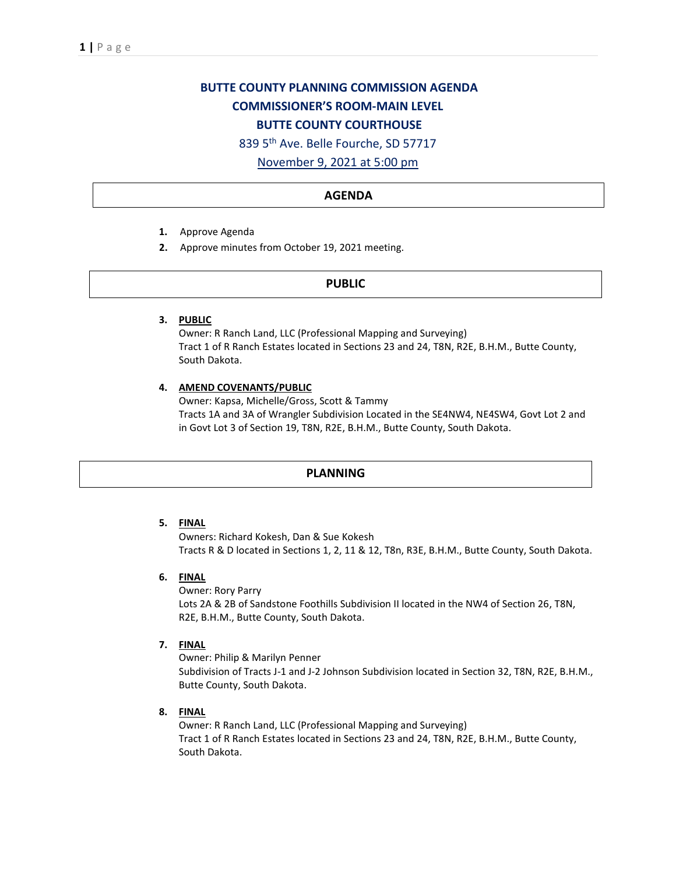# **BUTTE COUNTY PLANNING COMMISSION AGENDA COMMISSIONER'S ROOM-MAIN LEVEL BUTTE COUNTY COURTHOUSE**

839 5th Ave. Belle Fourche, SD 57717

November 9, 2021 at 5:00 pm

## **AGENDA**

- **1.** Approve Agenda
- **2.** Approve minutes from October 19, 2021 meeting.

## **PUBLIC**

**3. PUBLIC**

Owner: R Ranch Land, LLC (Professional Mapping and Surveying) Tract 1 of R Ranch Estates located in Sections 23 and 24, T8N, R2E, B.H.M., Butte County, South Dakota.

#### **4. AMEND COVENANTS/PUBLIC**

Owner: Kapsa, Michelle/Gross, Scott & Tammy Tracts 1A and 3A of Wrangler Subdivision Located in the SE4NW4, NE4SW4, Govt Lot 2 and in Govt Lot 3 of Section 19, T8N, R2E, B.H.M., Butte County, South Dakota.

## **PLANNING**

# **5. FINAL**

Owners: Richard Kokesh, Dan & Sue Kokesh Tracts R & D located in Sections 1, 2, 11 & 12, T8n, R3E, B.H.M., Butte County, South Dakota.

#### **6. FINAL**

Owner: Rory Parry Lots 2A & 2B of Sandstone Foothills Subdivision II located in the NW4 of Section 26, T8N, R2E, B.H.M., Butte County, South Dakota.

#### **7. FINAL**

Owner: Philip & Marilyn Penner Subdivision of Tracts J-1 and J-2 Johnson Subdivision located in Section 32, T8N, R2E, B.H.M., Butte County, South Dakota.

**8. FINAL**

Owner: R Ranch Land, LLC (Professional Mapping and Surveying) Tract 1 of R Ranch Estates located in Sections 23 and 24, T8N, R2E, B.H.M., Butte County, South Dakota.